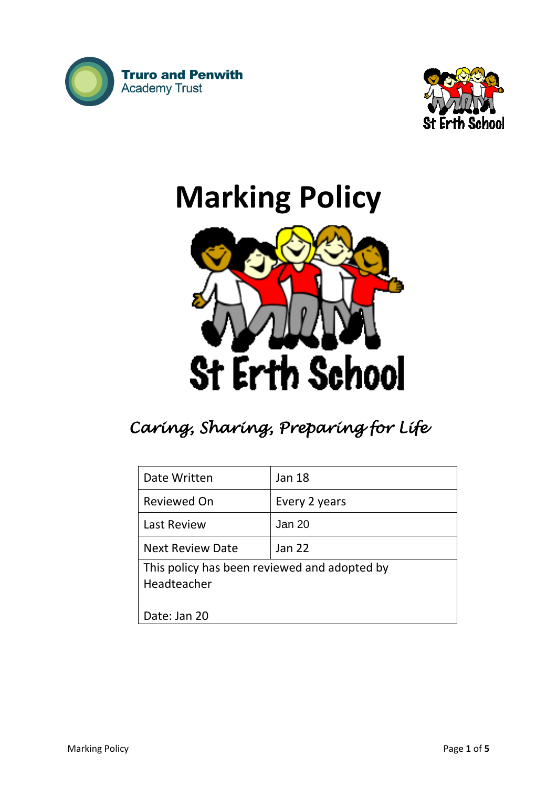



# **Marking Policy**



# *Caring, Sharing, Preparing for Life*

| Date Written                                 | <b>Jan 18</b> |
|----------------------------------------------|---------------|
|                                              |               |
| Reviewed On                                  | Every 2 years |
| <b>Last Review</b>                           | Jan 20        |
| <b>Next Review Date</b>                      | Jan 22        |
| This policy has been reviewed and adopted by |               |
| Headteacher                                  |               |
|                                              |               |
| Date: Jan 20                                 |               |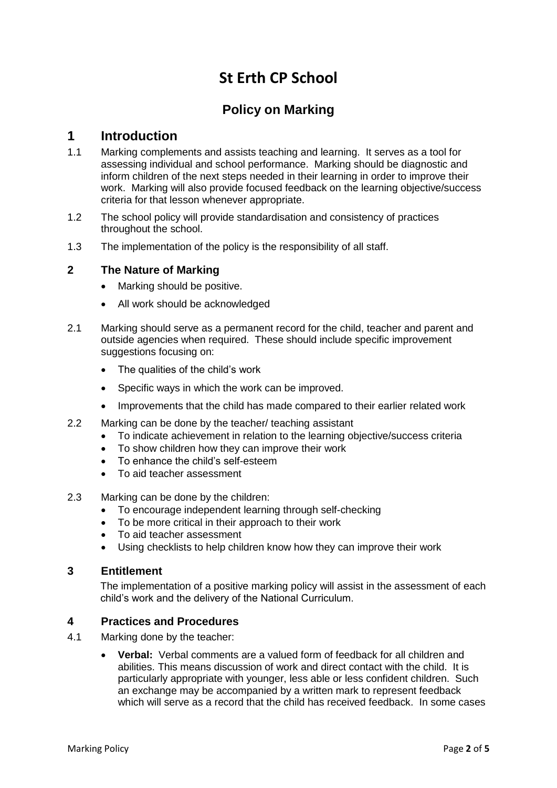# **St Erth CP School**

## **Policy on Marking**

## **1 Introduction**

- 1.1 Marking complements and assists teaching and learning. It serves as a tool for assessing individual and school performance. Marking should be diagnostic and inform children of the next steps needed in their learning in order to improve their work. Marking will also provide focused feedback on the learning objective/success criteria for that lesson whenever appropriate.
- 1.2 The school policy will provide standardisation and consistency of practices throughout the school.
- 1.3 The implementation of the policy is the responsibility of all staff.

#### **2 The Nature of Marking**

- Marking should be positive.
- All work should be acknowledged
- 2.1 Marking should serve as a permanent record for the child, teacher and parent and outside agencies when required. These should include specific improvement suggestions focusing on:
	- The qualities of the child's work
	- Specific ways in which the work can be improved.
	- Improvements that the child has made compared to their earlier related work
- 2.2 Marking can be done by the teacher/ teaching assistant
	- To indicate achievement in relation to the learning objective/success criteria
	- To show children how they can improve their work
	- To enhance the child's self-esteem
	- To aid teacher assessment
- 2.3 Marking can be done by the children:
	- To encourage independent learning through self-checking
	- To be more critical in their approach to their work
	- To aid teacher assessment
	- Using checklists to help children know how they can improve their work

#### **3 Entitlement**

The implementation of a positive marking policy will assist in the assessment of each child's work and the delivery of the National Curriculum.

#### **4 Practices and Procedures**

- 4.1 Marking done by the teacher:
	- **Verbal:** Verbal comments are a valued form of feedback for all children and abilities. This means discussion of work and direct contact with the child. It is particularly appropriate with younger, less able or less confident children. Such an exchange may be accompanied by a written mark to represent feedback which will serve as a record that the child has received feedback. In some cases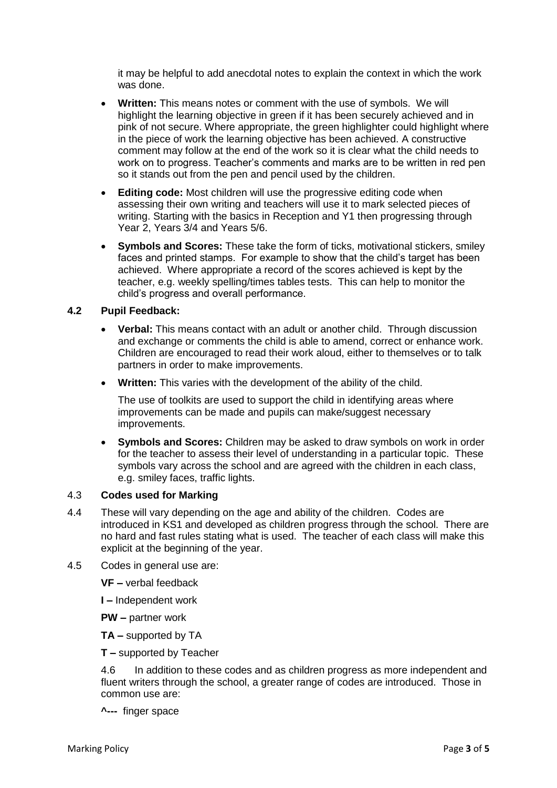it may be helpful to add anecdotal notes to explain the context in which the work was done.

- **Written:** This means notes or comment with the use of symbols. We will highlight the learning objective in green if it has been securely achieved and in pink of not secure. Where appropriate, the green highlighter could highlight where in the piece of work the learning objective has been achieved. A constructive comment may follow at the end of the work so it is clear what the child needs to work on to progress. Teacher's comments and marks are to be written in red pen so it stands out from the pen and pencil used by the children.
- **Editing code:** Most children will use the progressive editing code when assessing their own writing and teachers will use it to mark selected pieces of writing. Starting with the basics in Reception and Y1 then progressing through Year 2, Years 3/4 and Years 5/6.
- **Symbols and Scores:** These take the form of ticks, motivational stickers, smiley faces and printed stamps. For example to show that the child's target has been achieved. Where appropriate a record of the scores achieved is kept by the teacher, e.g. weekly spelling/times tables tests. This can help to monitor the child's progress and overall performance.

#### **4.2 Pupil Feedback:**

- **Verbal:** This means contact with an adult or another child. Through discussion and exchange or comments the child is able to amend, correct or enhance work. Children are encouraged to read their work aloud, either to themselves or to talk partners in order to make improvements.
- **Written:** This varies with the development of the ability of the child.

The use of toolkits are used to support the child in identifying areas where improvements can be made and pupils can make/suggest necessary improvements.

 **Symbols and Scores:** Children may be asked to draw symbols on work in order for the teacher to assess their level of understanding in a particular topic. These symbols vary across the school and are agreed with the children in each class, e.g. smiley faces, traffic lights.

#### 4.3 **Codes used for Marking**

- 4.4 These will vary depending on the age and ability of the children. Codes are introduced in KS1 and developed as children progress through the school. There are no hard and fast rules stating what is used. The teacher of each class will make this explicit at the beginning of the year.
- 4.5 Codes in general use are:

**VF –** verbal feedback

**I –** Independent work

**PW –** partner work

**TA –** supported by TA

**T –** supported by Teacher

4.6 In addition to these codes and as children progress as more independent and fluent writers through the school, a greater range of codes are introduced. Those in common use are:

**^---** finger space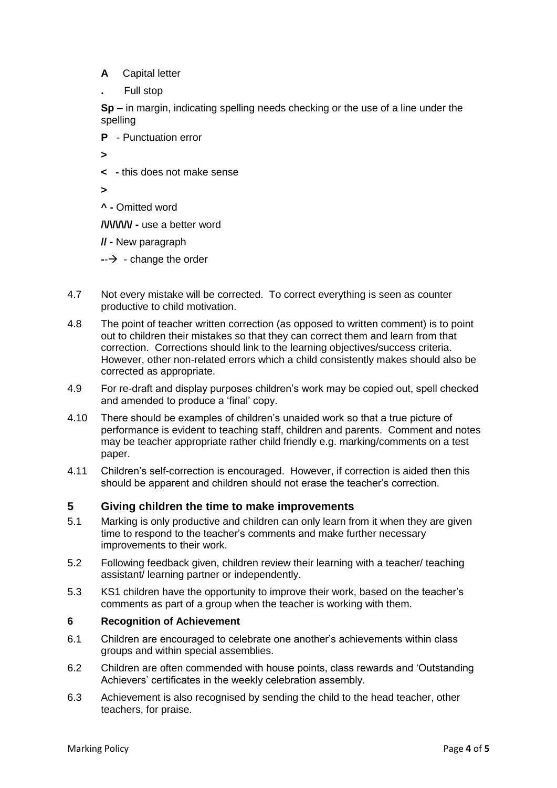- **A** Capital letter
- **.** Full stop

**Sp –** in margin, indicating spelling needs checking or the use of a line under the spelling

**P** - Punctuation error

**>**

**< -** this does not make sense

**>**

**^ -** Omitted word

**/\/\/\/\/\/ -** use a better word

- **// -** New paragraph
- $\rightarrow$  change the order
- 4.7 Not every mistake will be corrected. To correct everything is seen as counter productive to child motivation.
- 4.8 The point of teacher written correction (as opposed to written comment) is to point out to children their mistakes so that they can correct them and learn from that correction. Corrections should link to the learning objectives/success criteria. However, other non-related errors which a child consistently makes should also be corrected as appropriate.
- 4.9 For re-draft and display purposes children's work may be copied out, spell checked and amended to produce a 'final' copy.
- 4.10 There should be examples of children's unaided work so that a true picture of performance is evident to teaching staff, children and parents. Comment and notes may be teacher appropriate rather child friendly e.g. marking/comments on a test paper.
- 4.11 Children's self-correction is encouraged. However, if correction is aided then this should be apparent and children should not erase the teacher's correction.

#### **5 Giving children the time to make improvements**

- 5.1 Marking is only productive and children can only learn from it when they are given time to respond to the teacher's comments and make further necessary improvements to their work.
- 5.2 Following feedback given, children review their learning with a teacher/ teaching assistant/ learning partner or independently.
- 5.3 KS1 children have the opportunity to improve their work, based on the teacher's comments as part of a group when the teacher is working with them.

#### **6 Recognition of Achievement**

- 6.1 Children are encouraged to celebrate one another's achievements within class groups and within special assemblies.
- 6.2 Children are often commended with house points, class rewards and 'Outstanding Achievers' certificates in the weekly celebration assembly.
- 6.3 Achievement is also recognised by sending the child to the head teacher, other teachers, for praise.